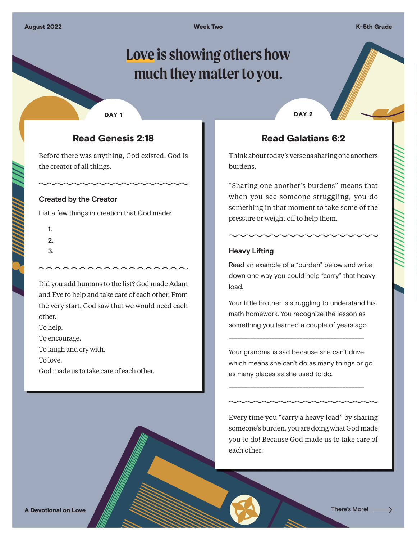**Week Two K-5th Grade** 

# **Love is showing others how much they matter to you.**

#### DAY<sub>1</sub>

## Read Genesis 2:18

Before there was anything, God existed. God is the creator of all things.

#### **Created by the Creator**

List a few things in creation that God made:

- **1.**
- **2.**
- **3.**

Did you add humans to the list? God made Adam and Eve to help and take care of each other. From the very start, God saw that we would need each other.

To help.

To encourage.

To laugh and cry with.

To love.

God made us to take care of each other.

DAY<sub>2</sub>

## Read Galatians 6:2

Think about today's verse as sharing one anothers burdens.

"Sharing one another's burdens" means that when you see someone struggling, you do something in that moment to take some of the pressure or weight off to help them.

## **Heavy Lifting**

Read an example of a "burden" below and write down one way you could help "carry" that heavy load.

Your little brother is struggling to understand his math homework. You recognize the lesson as something you learned a couple of years ago.

Your grandma is sad because she can't drive which means she can't do as many things or go as many places as she used to do.

\_\_\_\_\_\_\_\_\_\_\_\_\_\_\_\_\_\_\_\_\_\_\_\_\_\_\_\_\_\_\_\_\_\_\_\_\_\_\_\_\_\_\_\_

\_\_\_\_\_\_\_\_\_\_\_\_\_\_\_\_\_\_\_\_\_\_\_\_\_\_\_\_\_\_\_\_\_\_\_\_\_\_\_\_\_\_\_\_

Every time you "carry a heavy load" by sharing someone's burden, you are doing what God made you to do! Because God made us to take care of each other.